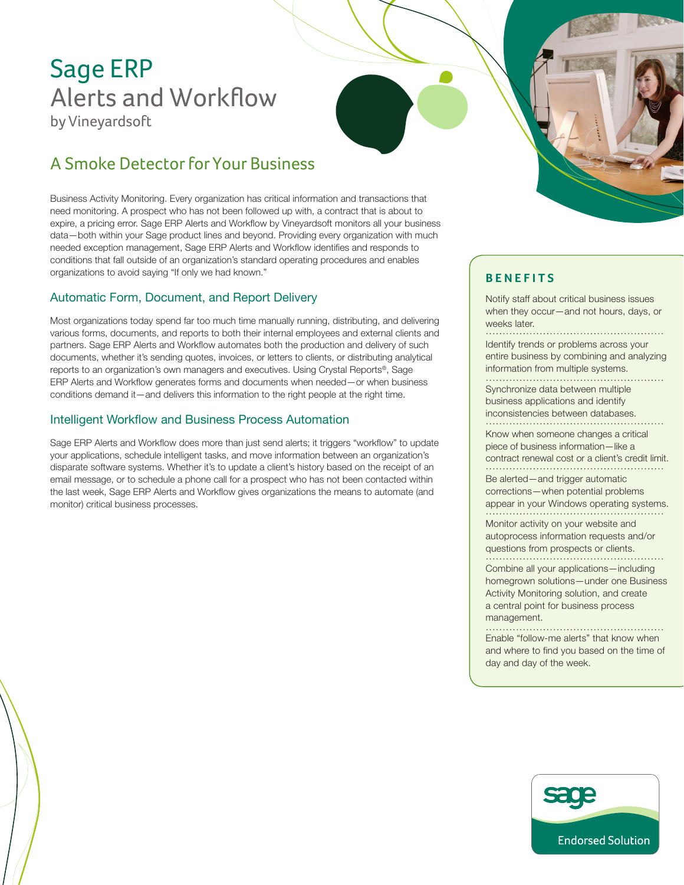# Sage ERP Alerts and Workflow by Vineyardsoft

## A Smoke Detector for Your Business

Business Activity Monitoring. Every organization has critical information and transactions that need monitoring. A prospect who has not been followed up with, a contract that is about to expire, a pricing error. Sage ERP Alerts and Workflow by Vineyardsoft monitors all your business data—both within your Sage product lines and beyond. Providing every organization with much needed exception management, Sage ERP Alerts and Workflow identifies and responds to conditions that fall outside of an organization's standard operating procedures and enables organizations to avoid saying "If only we had known."

#### Automatic Form, Document, and Report Delivery

Most organizations today spend far too much time manually running, distributing, and delivering various forms, documents, and reports to both their internal employees and external clients and partners. Sage ERP Alerts and Workflow automates both the production and delivery of such documents, whether it's sending quotes, invoices, or letters to clients, or distributing analytical reports to an organization's own managers and executives. Using Crystal Reports®, Sage ERP Alerts and Workflow generates forms and documents when needed—or when business conditions demand it—and delivers this information to the right people at the right time.

#### Intelligent Workflow and Business Process Automation

Sage ERP Alerts and Workflow does more than just send alerts; it triggers "workflow" to update your applications, schedule intelligent tasks, and move information between an organization's disparate software systems. Whether it's to update a client's history based on the receipt of an email message, or to schedule a phone call for a prospect who has not been contacted within the last week, Sage ERP Alerts and Workflow gives organizations the means to automate (and monitor) critical business processes.

#### **Benefits**

Notify staff about critical business issues when they occur—and not hours, days, or weeks later.

Identify trends or problems across your entire business by combining and analyzing information from multiple systems.

Synchronize data between multiple business applications and identify inconsistencies between databases. 

Know when someone changes a critical piece of business information—like a contract renewal cost or a client's credit limit. Be alerted—and trigger automatic

corrections—when potential problems appear in your Windows operating systems. 

Monitor activity on your website and autoprocess information requests and/or questions from prospects or clients. 

Combine all your applications—including homegrown solutions—under one Business Activity Monitoring solution, and create a central point for business process management.

Enable "follow-me alerts" that know when and where to find you based on the time of day and day of the week.